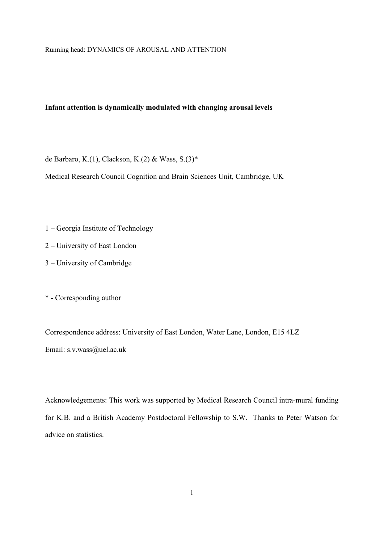### **Infant attention is dynamically modulated with changing arousal levels**

de Barbaro, K.(1), Clackson, K.(2) & Wass, S.(3)\*

Medical Research Council Cognition and Brain Sciences Unit, Cambridge, UK

- 1 Georgia Institute of Technology
- 2 University of East London
- 3 University of Cambridge

\* - Corresponding author

Correspondence address: University of East London, Water Lane, London, E15 4LZ Email: s.v.wass@uel.ac.uk

Acknowledgements: This work was supported by Medical Research Council intra-mural funding for K.B. and a British Academy Postdoctoral Fellowship to S.W. Thanks to Peter Watson for advice on statistics.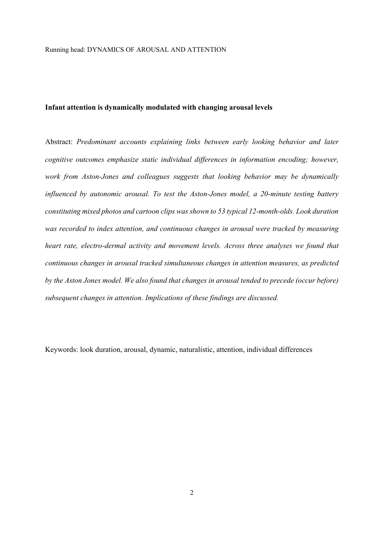## **Infant attention is dynamically modulated with changing arousal levels**

Abstract: *Predominant accounts explaining links between early looking behavior and later cognitive outcomes emphasize static individual differences in information encoding; however, work from Aston-Jones and colleagues suggests that looking behavior may be dynamically influenced by autonomic arousal. To test the Aston-Jones model, a 20-minute testing battery constituting mixed photos and cartoon clips was shown to 53 typical 12-month-olds. Look duration was recorded to index attention, and continuous changes in arousal were tracked by measuring heart rate, electro-dermal activity and movement levels. Across three analyses we found that continuous changes in arousal tracked simultaneous changes in attention measures, as predicted by the Aston Jones model. We also found that changes in arousal tended to precede (occur before) subsequent changes in attention. Implications of these findings are discussed.* 

Keywords: look duration, arousal, dynamic, naturalistic, attention, individual differences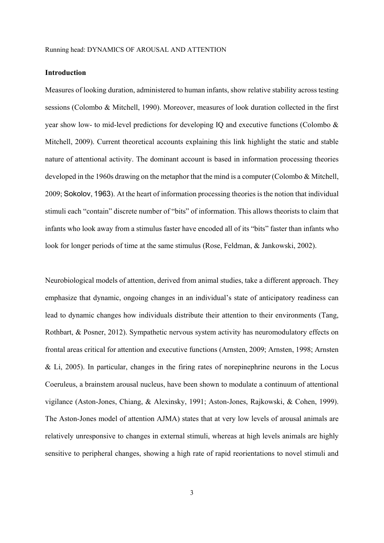## **Introduction**

Measures of looking duration, administered to human infants, show relative stability across testing sessions (Colombo & Mitchell, 1990). Moreover, measures of look duration collected in the first year show low- to mid-level predictions for developing IQ and executive functions (Colombo & Mitchell, 2009). Current theoretical accounts explaining this link highlight the static and stable nature of attentional activity. The dominant account is based in information processing theories developed in the 1960s drawing on the metaphor that the mind is a computer (Colombo & Mitchell, 2009; Sokolov, 1963). At the heart of information processing theories is the notion that individual stimuli each "contain" discrete number of "bits" of information. This allows theorists to claim that infants who look away from a stimulus faster have encoded all of its "bits" faster than infants who look for longer periods of time at the same stimulus (Rose, Feldman, & Jankowski, 2002).

Neurobiological models of attention, derived from animal studies, take a different approach. They emphasize that dynamic, ongoing changes in an individual's state of anticipatory readiness can lead to dynamic changes how individuals distribute their attention to their environments (Tang, Rothbart, & Posner, 2012). Sympathetic nervous system activity has neuromodulatory effects on frontal areas critical for attention and executive functions (Arnsten, 2009; Arnsten, 1998; Arnsten & Li, 2005). In particular, changes in the firing rates of norepinephrine neurons in the Locus Coeruleus, a brainstem arousal nucleus, have been shown to modulate a continuum of attentional vigilance (Aston-Jones, Chiang, & Alexinsky, 1991; Aston-Jones, Rajkowski, & Cohen, 1999). The Aston-Jones model of attention AJMA) states that at very low levels of arousal animals are relatively unresponsive to changes in external stimuli, whereas at high levels animals are highly sensitive to peripheral changes, showing a high rate of rapid reorientations to novel stimuli and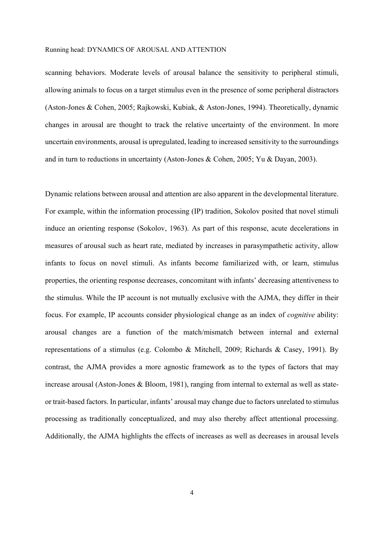scanning behaviors. Moderate levels of arousal balance the sensitivity to peripheral stimuli, allowing animals to focus on a target stimulus even in the presence of some peripheral distractors (Aston-Jones & Cohen, 2005; Rajkowski, Kubiak, & Aston-Jones, 1994). Theoretically, dynamic changes in arousal are thought to track the relative uncertainty of the environment. In more uncertain environments, arousal is upregulated, leading to increased sensitivity to the surroundings and in turn to reductions in uncertainty (Aston-Jones & Cohen, 2005; Yu & Dayan, 2003).

Dynamic relations between arousal and attention are also apparent in the developmental literature. For example, within the information processing (IP) tradition, Sokolov posited that novel stimuli induce an orienting response (Sokolov, 1963). As part of this response, acute decelerations in measures of arousal such as heart rate, mediated by increases in parasympathetic activity, allow infants to focus on novel stimuli. As infants become familiarized with, or learn, stimulus properties, the orienting response decreases, concomitant with infants' decreasing attentiveness to the stimulus. While the IP account is not mutually exclusive with the AJMA, they differ in their focus. For example, IP accounts consider physiological change as an index of *cognitive* ability: arousal changes are a function of the match/mismatch between internal and external representations of a stimulus (e.g. Colombo & Mitchell, 2009; Richards & Casey, 1991). By contrast, the AJMA provides a more agnostic framework as to the types of factors that may increase arousal (Aston-Jones & Bloom, 1981), ranging from internal to external as well as stateor trait-based factors. In particular, infants' arousal may change due to factors unrelated to stimulus processing as traditionally conceptualized, and may also thereby affect attentional processing. Additionally, the AJMA highlights the effects of increases as well as decreases in arousal levels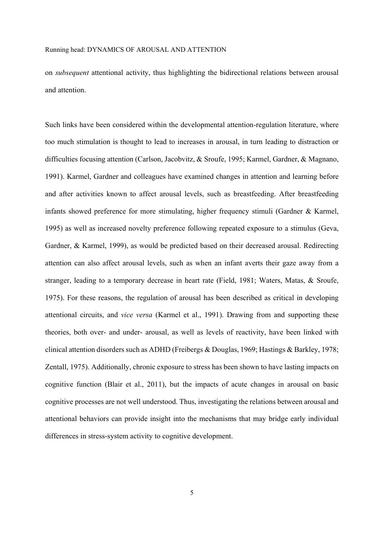on *subsequent* attentional activity, thus highlighting the bidirectional relations between arousal and attention.

Such links have been considered within the developmental attention-regulation literature, where too much stimulation is thought to lead to increases in arousal, in turn leading to distraction or difficulties focusing attention (Carlson, Jacobvitz, & Sroufe, 1995; Karmel, Gardner, & Magnano, 1991). Karmel, Gardner and colleagues have examined changes in attention and learning before and after activities known to affect arousal levels, such as breastfeeding. After breastfeeding infants showed preference for more stimulating, higher frequency stimuli (Gardner & Karmel, 1995) as well as increased novelty preference following repeated exposure to a stimulus (Geva, Gardner, & Karmel, 1999), as would be predicted based on their decreased arousal. Redirecting attention can also affect arousal levels, such as when an infant averts their gaze away from a stranger, leading to a temporary decrease in heart rate (Field, 1981; Waters, Matas, & Sroufe, 1975). For these reasons, the regulation of arousal has been described as critical in developing attentional circuits, and *vice versa* (Karmel et al., 1991). Drawing from and supporting these theories, both over- and under- arousal, as well as levels of reactivity, have been linked with clinical attention disorders such as ADHD (Freibergs & Douglas, 1969; Hastings & Barkley, 1978; Zentall, 1975). Additionally, chronic exposure to stress has been shown to have lasting impacts on cognitive function (Blair et al., 2011), but the impacts of acute changes in arousal on basic cognitive processes are not well understood. Thus, investigating the relations between arousal and attentional behaviors can provide insight into the mechanisms that may bridge early individual differences in stress-system activity to cognitive development.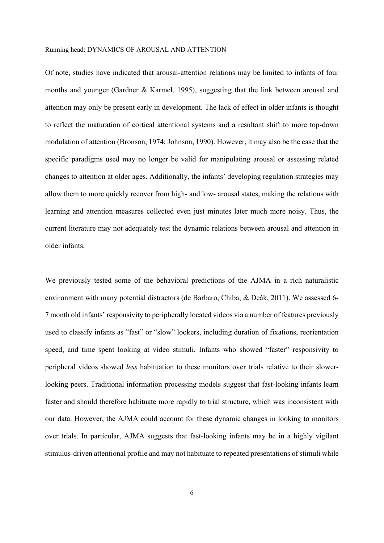Of note, studies have indicated that arousal-attention relations may be limited to infants of four months and younger (Gardner & Karmel, 1995), suggesting that the link between arousal and attention may only be present early in development. The lack of effect in older infants is thought to reflect the maturation of cortical attentional systems and a resultant shift to more top-down modulation of attention (Bronson, 1974; Johnson, 1990). However, it may also be the case that the specific paradigms used may no longer be valid for manipulating arousal or assessing related changes to attention at older ages. Additionally, the infants' developing regulation strategies may allow them to more quickly recover from high- and low- arousal states, making the relations with learning and attention measures collected even just minutes later much more noisy. Thus, the current literature may not adequately test the dynamic relations between arousal and attention in older infants.

We previously tested some of the behavioral predictions of the AJMA in a rich naturalistic environment with many potential distractors (de Barbaro, Chiba, & Deák, 2011). We assessed 6- 7 month old infants' responsivity to peripherally located videos via a number of features previously used to classify infants as "fast" or "slow" lookers, including duration of fixations, reorientation speed, and time spent looking at video stimuli. Infants who showed "faster" responsivity to peripheral videos showed *less* habituation to these monitors over trials relative to their slowerlooking peers. Traditional information processing models suggest that fast-looking infants learn faster and should therefore habituate more rapidly to trial structure, which was inconsistent with our data. However, the AJMA could account for these dynamic changes in looking to monitors over trials. In particular, AJMA suggests that fast-looking infants may be in a highly vigilant stimulus-driven attentional profile and may not habituate to repeated presentations of stimuli while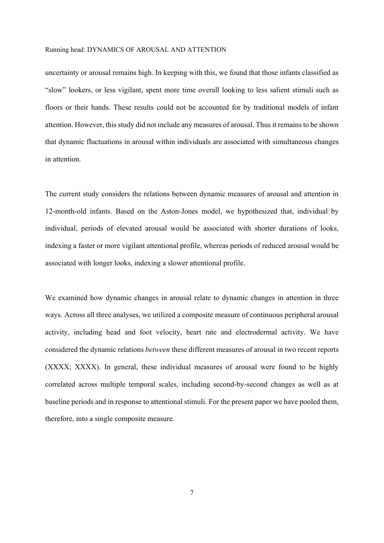uncertainty or arousal remains high. In keeping with this, we found that those infants classified as "slow" lookers, or less vigilant, spent more time overall looking to less salient stimuli such as floors or their hands. These results could not be accounted for by traditional models of infant attention. However, this study did not include any measures of arousal. Thus it remains to be shown that dynamic fluctuations in arousal within individuals are associated with simultaneous changes in attention.

The current study considers the relations between dynamic measures of arousal and attention in 12-month-old infants. Based on the Aston-Jones model, we hypothesized that, individual by individual, periods of elevated arousal would be associated with shorter durations of looks, indexing a faster or more vigilant attentional profile, whereas periods of reduced arousal would be associated with longer looks, indexing a slower attentional profile.

We examined how dynamic changes in arousal relate to dynamic changes in attention in three ways. Across all three analyses, we utilized a composite measure of continuous peripheral arousal activity, including head and foot velocity, heart rate and electrodermal activity. We have considered the dynamic relations *between* these different measures of arousal in two recent reports (XXXX; XXXX). In general, these individual measures of arousal were found to be highly correlated across multiple temporal scales, including second-by-second changes as well as at baseline periods and in response to attentional stimuli. For the present paper we have pooled them, therefore, into a single composite measure.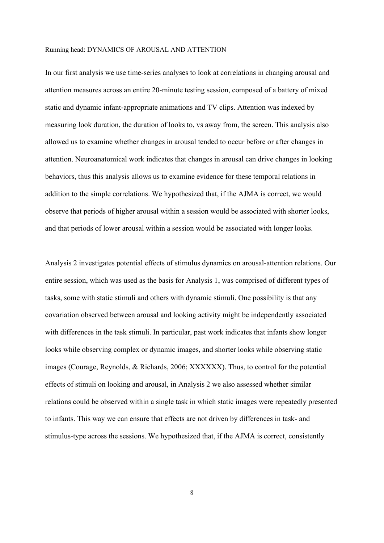In our first analysis we use time-series analyses to look at correlations in changing arousal and attention measures across an entire 20-minute testing session, composed of a battery of mixed static and dynamic infant-appropriate animations and TV clips. Attention was indexed by measuring look duration, the duration of looks to, vs away from, the screen. This analysis also allowed us to examine whether changes in arousal tended to occur before or after changes in attention. Neuroanatomical work indicates that changes in arousal can drive changes in looking behaviors, thus this analysis allows us to examine evidence for these temporal relations in addition to the simple correlations. We hypothesized that, if the AJMA is correct, we would observe that periods of higher arousal within a session would be associated with shorter looks, and that periods of lower arousal within a session would be associated with longer looks.

Analysis 2 investigates potential effects of stimulus dynamics on arousal-attention relations. Our entire session, which was used as the basis for Analysis 1, was comprised of different types of tasks, some with static stimuli and others with dynamic stimuli. One possibility is that any covariation observed between arousal and looking activity might be independently associated with differences in the task stimuli. In particular, past work indicates that infants show longer looks while observing complex or dynamic images, and shorter looks while observing static images (Courage, Reynolds, & Richards, 2006; XXXXXX). Thus, to control for the potential effects of stimuli on looking and arousal, in Analysis 2 we also assessed whether similar relations could be observed within a single task in which static images were repeatedly presented to infants. This way we can ensure that effects are not driven by differences in task- and stimulus-type across the sessions. We hypothesized that, if the AJMA is correct, consistently

8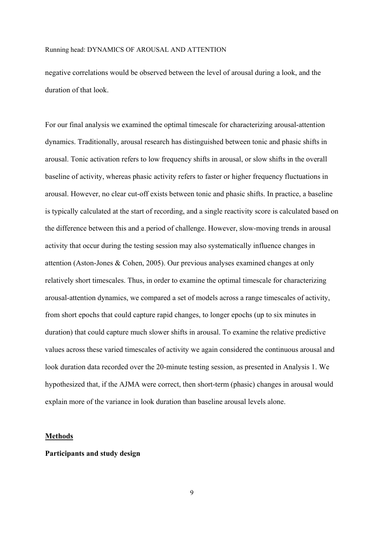negative correlations would be observed between the level of arousal during a look, and the duration of that look.

For our final analysis we examined the optimal timescale for characterizing arousal-attention dynamics. Traditionally, arousal research has distinguished between tonic and phasic shifts in arousal. Tonic activation refers to low frequency shifts in arousal, or slow shifts in the overall baseline of activity, whereas phasic activity refers to faster or higher frequency fluctuations in arousal. However, no clear cut-off exists between tonic and phasic shifts. In practice, a baseline is typically calculated at the start of recording, and a single reactivity score is calculated based on the difference between this and a period of challenge. However, slow-moving trends in arousal activity that occur during the testing session may also systematically influence changes in attention (Aston-Jones & Cohen, 2005). Our previous analyses examined changes at only relatively short timescales. Thus, in order to examine the optimal timescale for characterizing arousal-attention dynamics, we compared a set of models across a range timescales of activity, from short epochs that could capture rapid changes, to longer epochs (up to six minutes in duration) that could capture much slower shifts in arousal. To examine the relative predictive values across these varied timescales of activity we again considered the continuous arousal and look duration data recorded over the 20-minute testing session, as presented in Analysis 1. We hypothesized that, if the AJMA were correct, then short-term (phasic) changes in arousal would explain more of the variance in look duration than baseline arousal levels alone.

#### **Methods**

## **Participants and study design**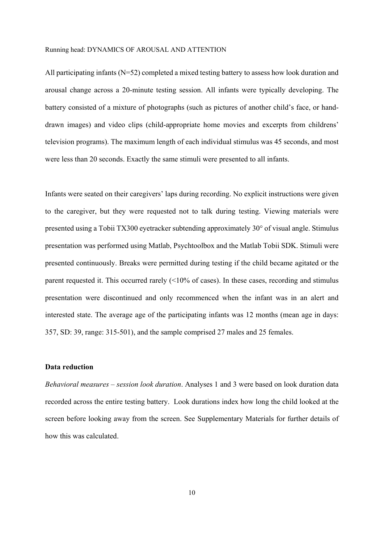All participating infants (N=52) completed a mixed testing battery to assess how look duration and arousal change across a 20-minute testing session. All infants were typically developing. The battery consisted of a mixture of photographs (such as pictures of another child's face, or handdrawn images) and video clips (child-appropriate home movies and excerpts from childrens' television programs). The maximum length of each individual stimulus was 45 seconds, and most were less than 20 seconds. Exactly the same stimuli were presented to all infants.

Infants were seated on their caregivers' laps during recording. No explicit instructions were given to the caregiver, but they were requested not to talk during testing. Viewing materials were presented using a Tobii TX300 eyetracker subtending approximately 30° of visual angle. Stimulus presentation was performed using Matlab, Psychtoolbox and the Matlab Tobii SDK. Stimuli were presented continuously. Breaks were permitted during testing if the child became agitated or the parent requested it. This occurred rarely (<10% of cases). In these cases, recording and stimulus presentation were discontinued and only recommenced when the infant was in an alert and interested state. The average age of the participating infants was 12 months (mean age in days: 357, SD: 39, range: 315-501), and the sample comprised 27 males and 25 females.

## **Data reduction**

*Behavioral measures – session look duration*. Analyses 1 and 3 were based on look duration data recorded across the entire testing battery. Look durations index how long the child looked at the screen before looking away from the screen. See Supplementary Materials for further details of how this was calculated.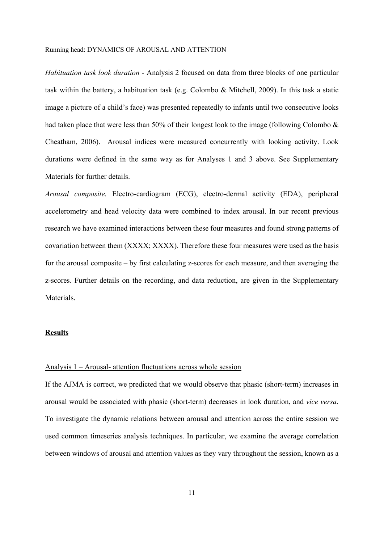*Habituation task look duration -* Analysis 2 focused on data from three blocks of one particular task within the battery, a habituation task (e.g. Colombo & Mitchell, 2009). In this task a static image a picture of a child's face) was presented repeatedly to infants until two consecutive looks had taken place that were less than 50% of their longest look to the image (following Colombo & Cheatham, 2006). Arousal indices were measured concurrently with looking activity. Look durations were defined in the same way as for Analyses 1 and 3 above. See Supplementary Materials for further details.

*Arousal composite.* Electro-cardiogram (ECG), electro-dermal activity (EDA), peripheral accelerometry and head velocity data were combined to index arousal. In our recent previous research we have examined interactions between these four measures and found strong patterns of covariation between them (XXXX; XXXX). Therefore these four measures were used as the basis for the arousal composite – by first calculating z-scores for each measure, and then averaging the z-scores. Further details on the recording, and data reduction, are given in the Supplementary Materials.

## **Results**

## Analysis 1 – Arousal- attention fluctuations across whole session

If the AJMA is correct, we predicted that we would observe that phasic (short-term) increases in arousal would be associated with phasic (short-term) decreases in look duration, and *vice versa*. To investigate the dynamic relations between arousal and attention across the entire session we used common timeseries analysis techniques. In particular, we examine the average correlation between windows of arousal and attention values as they vary throughout the session, known as a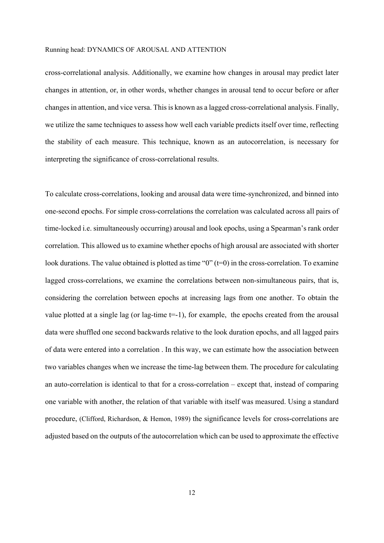cross-correlational analysis. Additionally, we examine how changes in arousal may predict later changes in attention, or, in other words, whether changes in arousal tend to occur before or after changes in attention, and vice versa. This is known as a lagged cross-correlational analysis. Finally, we utilize the same techniques to assess how well each variable predicts itself over time, reflecting the stability of each measure. This technique, known as an autocorrelation, is necessary for interpreting the significance of cross-correlational results.

To calculate cross-correlations, looking and arousal data were time-synchronized, and binned into one-second epochs. For simple cross-correlations the correlation was calculated across all pairs of time-locked i.e. simultaneously occurring) arousal and look epochs, using a Spearman's rank order correlation. This allowed us to examine whether epochs of high arousal are associated with shorter look durations. The value obtained is plotted as time "0" (t=0) in the cross-correlation. To examine lagged cross-correlations, we examine the correlations between non-simultaneous pairs, that is, considering the correlation between epochs at increasing lags from one another. To obtain the value plotted at a single lag (or lag-time  $t=1$ ), for example, the epochs created from the arousal data were shuffled one second backwards relative to the look duration epochs, and all lagged pairs of data were entered into a correlation . In this way, we can estimate how the association between two variables changes when we increase the time-lag between them. The procedure for calculating an auto-correlation is identical to that for a cross-correlation – except that, instead of comparing one variable with another, the relation of that variable with itself was measured. Using a standard procedure, (Clifford, Richardson, & Hemon, 1989) the significance levels for cross-correlations are adjusted based on the outputs of the autocorrelation which can be used to approximate the effective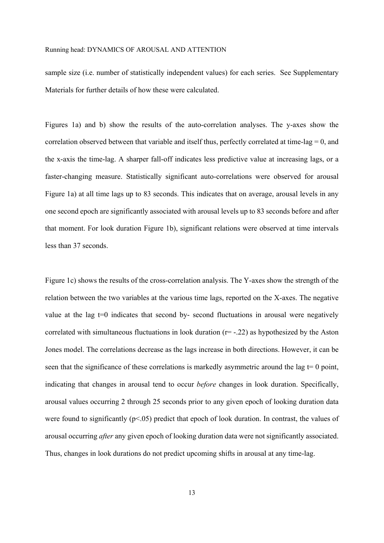sample size (i.e. number of statistically independent values) for each series. See Supplementary Materials for further details of how these were calculated.

Figures 1a) and b) show the results of the auto-correlation analyses. The y-axes show the correlation observed between that variable and itself thus, perfectly correlated at time-lag  $= 0$ , and the x-axis the time-lag. A sharper fall-off indicates less predictive value at increasing lags, or a faster-changing measure. Statistically significant auto-correlations were observed for arousal Figure 1a) at all time lags up to 83 seconds. This indicates that on average, arousal levels in any one second epoch are significantly associated with arousal levels up to 83 seconds before and after that moment. For look duration Figure 1b), significant relations were observed at time intervals less than 37 seconds.

Figure 1c) shows the results of the cross-correlation analysis. The Y-axes show the strength of the relation between the two variables at the various time lags, reported on the X-axes. The negative value at the lag  $t=0$  indicates that second by- second fluctuations in arousal were negatively correlated with simultaneous fluctuations in look duration  $(r=-.22)$  as hypothesized by the Aston Jones model. The correlations decrease as the lags increase in both directions. However, it can be seen that the significance of these correlations is markedly asymmetric around the lag  $t=0$  point, indicating that changes in arousal tend to occur *before* changes in look duration. Specifically, arousal values occurring 2 through 25 seconds prior to any given epoch of looking duration data were found to significantly  $(p<0.05)$  predict that epoch of look duration. In contrast, the values of arousal occurring *after* any given epoch of looking duration data were not significantly associated. Thus, changes in look durations do not predict upcoming shifts in arousal at any time-lag.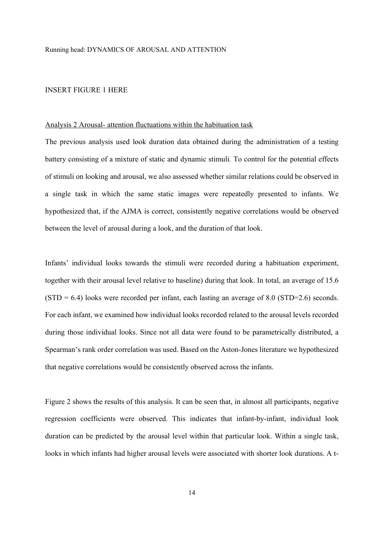## INSERT FIGURE 1 HERE

#### Analysis 2 Arousal- attention fluctuations within the habituation task

The previous analysis used look duration data obtained during the administration of a testing battery consisting of a mixture of static and dynamic stimuli*.* To control for the potential effects of stimuli on looking and arousal, we also assessed whether similar relations could be observed in a single task in which the same static images were repeatedly presented to infants. We hypothesized that, if the AJMA is correct, consistently negative correlations would be observed between the level of arousal during a look, and the duration of that look.

Infants' individual looks towards the stimuli were recorded during a habituation experiment, together with their arousal level relative to baseline) during that look. In total, an average of 15.6  $(STD = 6.4)$  looks were recorded per infant, each lasting an average of 8.0 (STD=2.6) seconds. For each infant, we examined how individual looks recorded related to the arousal levels recorded during those individual looks. Since not all data were found to be parametrically distributed, a Spearman's rank order correlation was used. Based on the Aston-Jones literature we hypothesized that negative correlations would be consistently observed across the infants.

Figure 2 shows the results of this analysis. It can be seen that, in almost all participants, negative regression coefficients were observed. This indicates that infant-by-infant, individual look duration can be predicted by the arousal level within that particular look. Within a single task, looks in which infants had higher arousal levels were associated with shorter look durations. A t-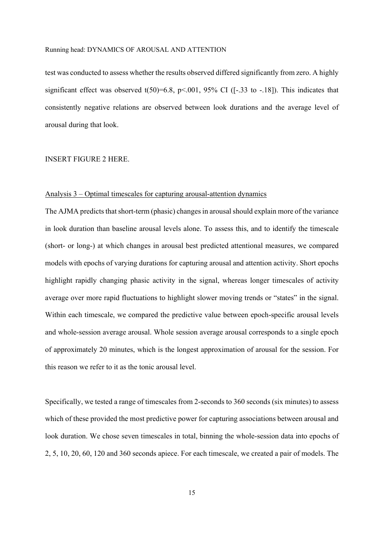test was conducted to assess whether the results observed differed significantly from zero. A highly significant effect was observed  $t(50)=6.8$ ,  $p<.001$ , 95% CI ([-.33 to -.18]). This indicates that consistently negative relations are observed between look durations and the average level of arousal during that look.

## INSERT FIGURE 2 HERE.

### Analysis 3 – Optimal timescales for capturing arousal-attention dynamics

The AJMA predicts that short-term (phasic) changes in arousal should explain more of the variance in look duration than baseline arousal levels alone. To assess this, and to identify the timescale (short- or long-) at which changes in arousal best predicted attentional measures, we compared models with epochs of varying durations for capturing arousal and attention activity. Short epochs highlight rapidly changing phasic activity in the signal, whereas longer timescales of activity average over more rapid fluctuations to highlight slower moving trends or "states" in the signal. Within each timescale, we compared the predictive value between epoch-specific arousal levels and whole-session average arousal. Whole session average arousal corresponds to a single epoch of approximately 20 minutes, which is the longest approximation of arousal for the session. For this reason we refer to it as the tonic arousal level.

Specifically, we tested a range of timescales from 2-seconds to 360 seconds (six minutes) to assess which of these provided the most predictive power for capturing associations between arousal and look duration. We chose seven timescales in total, binning the whole-session data into epochs of 2, 5, 10, 20, 60, 120 and 360 seconds apiece. For each timescale, we created a pair of models. The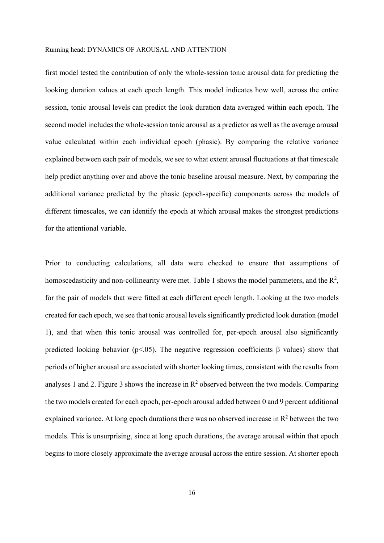first model tested the contribution of only the whole-session tonic arousal data for predicting the looking duration values at each epoch length. This model indicates how well, across the entire session, tonic arousal levels can predict the look duration data averaged within each epoch. The second model includes the whole-session tonic arousal as a predictor as well as the average arousal value calculated within each individual epoch (phasic). By comparing the relative variance explained between each pair of models, we see to what extent arousal fluctuations at that timescale help predict anything over and above the tonic baseline arousal measure. Next, by comparing the additional variance predicted by the phasic (epoch-specific) components across the models of different timescales, we can identify the epoch at which arousal makes the strongest predictions for the attentional variable.

Prior to conducting calculations, all data were checked to ensure that assumptions of homoscedasticity and non-collinearity were met. Table 1 shows the model parameters, and the  $\mathbb{R}^2$ , for the pair of models that were fitted at each different epoch length. Looking at the two models created for each epoch, we see that tonic arousal levels significantly predicted look duration (model 1), and that when this tonic arousal was controlled for, per-epoch arousal also significantly predicted looking behavior (p<.05). The negative regression coefficients β values) show that periods of higher arousal are associated with shorter looking times, consistent with the results from analyses 1 and 2. Figure 3 shows the increase in  $\mathbb{R}^2$  observed between the two models. Comparing the two models created for each epoch, per-epoch arousal added between 0 and 9 percent additional explained variance. At long epoch durations there was no observed increase in  $\mathbb{R}^2$  between the two models. This is unsurprising, since at long epoch durations, the average arousal within that epoch begins to more closely approximate the average arousal across the entire session. At shorter epoch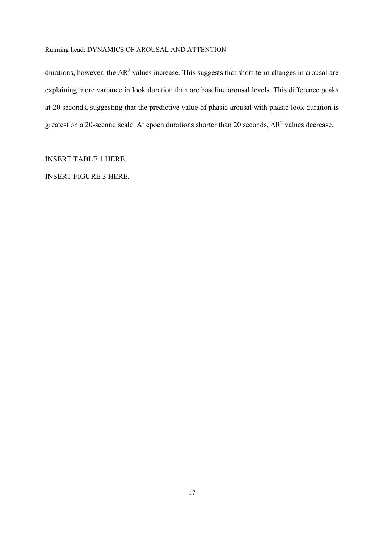durations, however, the  $\Delta R^2$  values increase. This suggests that short-term changes in arousal are explaining more variance in look duration than are baseline arousal levels. This difference peaks at 20 seconds, suggesting that the predictive value of phasic arousal with phasic look duration is greatest on a 20-second scale. At epoch durations shorter than 20 seconds,  $\Delta R^2$  values decrease.

INSERT TABLE 1 HERE.

INSERT FIGURE 3 HERE.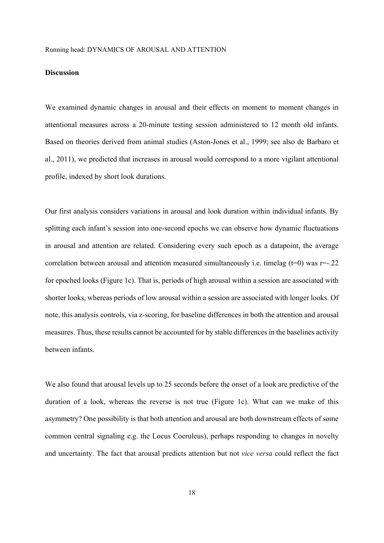## **Discussion**

We examined dynamic changes in arousal and their effects on moment to moment changes in attentional measures across a 20-minute testing session administered to 12 month old infants. Based on theories derived from animal studies (Aston-Jones et al., 1999; see also de Barbaro et al., 2011), we predicted that increases in arousal would correspond to a more vigilant attentional profile, indexed by short look durations.

Our first analysis considers variations in arousal and look duration within individual infants. By splitting each infant's session into one-second epochs we can observe how dynamic fluctuations in arousal and attention are related. Considering every such epoch as a datapoint, the average correlation between arousal and attention measured simultaneously i.e. timelag  $(t=0)$  was  $r=-.22$ for epoched looks (Figure 1c). That is, periods of high arousal within a session are associated with shorter looks, whereas periods of low arousal within a session are associated with longer looks. Of note, this analysis controls, via z-scoring, for baseline differences in both the attention and arousal measures. Thus, these results cannot be accounted for by stable differences in the baselines activity between infants.

We also found that arousal levels up to 25 seconds before the onset of a look are predictive of the duration of a look, whereas the reverse is not true (Figure 1c). What can we make of this asymmetry? One possibility is that both attention and arousal are both downstream effects of some common central signaling e.g. the Locus Coeruleus), perhaps responding to changes in novelty and uncertainty. The fact that arousal predicts attention but not *vice versa* could reflect the fact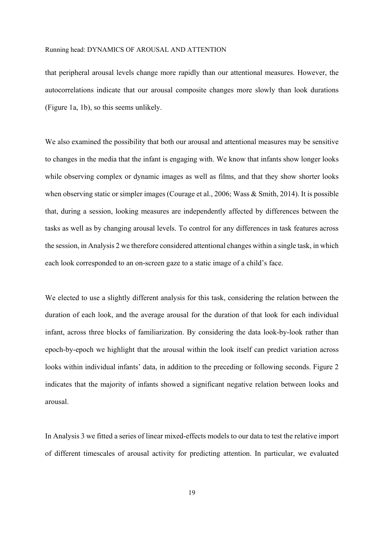that peripheral arousal levels change more rapidly than our attentional measures. However, the autocorrelations indicate that our arousal composite changes more slowly than look durations (Figure 1a, 1b), so this seems unlikely.

We also examined the possibility that both our arousal and attentional measures may be sensitive to changes in the media that the infant is engaging with. We know that infants show longer looks while observing complex or dynamic images as well as films, and that they show shorter looks when observing static or simpler images (Courage et al., 2006; Wass & Smith, 2014). It is possible that, during a session, looking measures are independently affected by differences between the tasks as well as by changing arousal levels. To control for any differences in task features across the session, in Analysis 2 we therefore considered attentional changes within a single task, in which each look corresponded to an on-screen gaze to a static image of a child's face.

We elected to use a slightly different analysis for this task, considering the relation between the duration of each look, and the average arousal for the duration of that look for each individual infant, across three blocks of familiarization. By considering the data look-by-look rather than epoch-by-epoch we highlight that the arousal within the look itself can predict variation across looks within individual infants' data, in addition to the preceding or following seconds. Figure 2 indicates that the majority of infants showed a significant negative relation between looks and arousal.

In Analysis 3 we fitted a series of linear mixed-effects models to our data to test the relative import of different timescales of arousal activity for predicting attention. In particular, we evaluated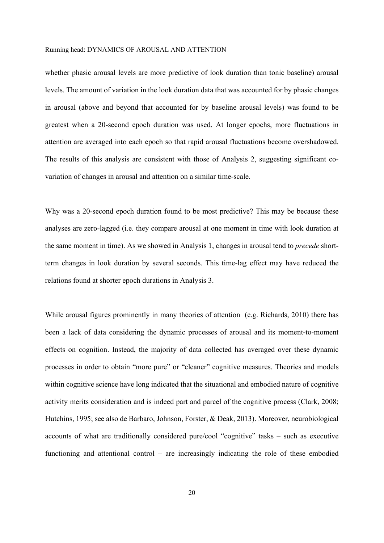whether phasic arousal levels are more predictive of look duration than tonic baseline) arousal levels. The amount of variation in the look duration data that was accounted for by phasic changes in arousal (above and beyond that accounted for by baseline arousal levels) was found to be greatest when a 20-second epoch duration was used. At longer epochs, more fluctuations in attention are averaged into each epoch so that rapid arousal fluctuations become overshadowed. The results of this analysis are consistent with those of Analysis 2, suggesting significant covariation of changes in arousal and attention on a similar time-scale.

Why was a 20-second epoch duration found to be most predictive? This may be because these analyses are zero-lagged (i.e. they compare arousal at one moment in time with look duration at the same moment in time). As we showed in Analysis 1, changes in arousal tend to *precede* shortterm changes in look duration by several seconds. This time-lag effect may have reduced the relations found at shorter epoch durations in Analysis 3.

While arousal figures prominently in many theories of attention (e.g. Richards, 2010) there has been a lack of data considering the dynamic processes of arousal and its moment-to-moment effects on cognition. Instead, the majority of data collected has averaged over these dynamic processes in order to obtain "more pure" or "cleaner" cognitive measures. Theories and models within cognitive science have long indicated that the situational and embodied nature of cognitive activity merits consideration and is indeed part and parcel of the cognitive process (Clark, 2008; Hutchins, 1995; see also de Barbaro, Johnson, Forster, & Deak, 2013). Moreover, neurobiological accounts of what are traditionally considered pure/cool "cognitive" tasks – such as executive functioning and attentional control – are increasingly indicating the role of these embodied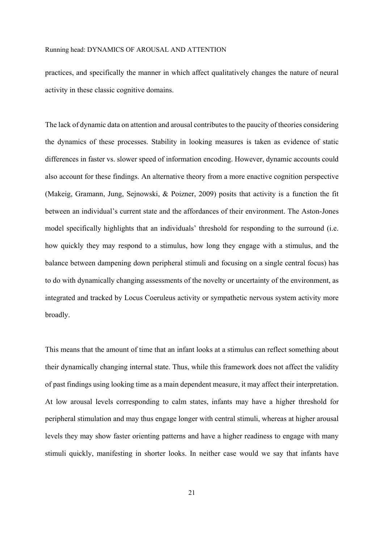practices, and specifically the manner in which affect qualitatively changes the nature of neural activity in these classic cognitive domains.

The lack of dynamic data on attention and arousal contributes to the paucity of theories considering the dynamics of these processes. Stability in looking measures is taken as evidence of static differences in faster vs. slower speed of information encoding. However, dynamic accounts could also account for these findings. An alternative theory from a more enactive cognition perspective (Makeig, Gramann, Jung, Sejnowski, & Poizner, 2009) posits that activity is a function the fit between an individual's current state and the affordances of their environment. The Aston-Jones model specifically highlights that an individuals' threshold for responding to the surround (i.e. how quickly they may respond to a stimulus, how long they engage with a stimulus, and the balance between dampening down peripheral stimuli and focusing on a single central focus) has to do with dynamically changing assessments of the novelty or uncertainty of the environment, as integrated and tracked by Locus Coeruleus activity or sympathetic nervous system activity more broadly.

This means that the amount of time that an infant looks at a stimulus can reflect something about their dynamically changing internal state. Thus, while this framework does not affect the validity of past findings using looking time as a main dependent measure, it may affect their interpretation. At low arousal levels corresponding to calm states, infants may have a higher threshold for peripheral stimulation and may thus engage longer with central stimuli, whereas at higher arousal levels they may show faster orienting patterns and have a higher readiness to engage with many stimuli quickly, manifesting in shorter looks. In neither case would we say that infants have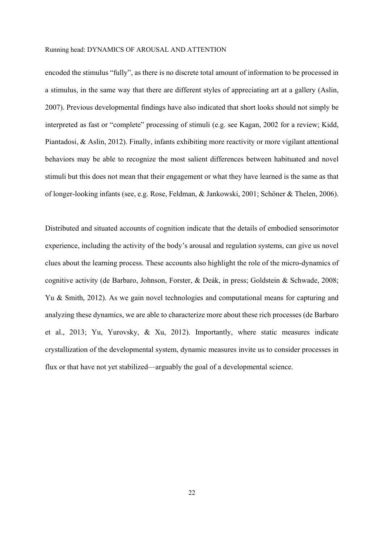encoded the stimulus "fully", as there is no discrete total amount of information to be processed in a stimulus, in the same way that there are different styles of appreciating art at a gallery (Aslin, 2007). Previous developmental findings have also indicated that short looks should not simply be interpreted as fast or "complete" processing of stimuli (e.g. see Kagan, 2002 for a review; Kidd, Piantadosi, & Aslin, 2012). Finally, infants exhibiting more reactivity or more vigilant attentional behaviors may be able to recognize the most salient differences between habituated and novel stimuli but this does not mean that their engagement or what they have learned is the same as that of longer-looking infants (see, e.g. Rose, Feldman, & Jankowski, 2001; Schöner & Thelen, 2006).

Distributed and situated accounts of cognition indicate that the details of embodied sensorimotor experience, including the activity of the body's arousal and regulation systems, can give us novel clues about the learning process. These accounts also highlight the role of the micro-dynamics of cognitive activity (de Barbaro, Johnson, Forster, & Deák, in press; Goldstein & Schwade, 2008; Yu & Smith, 2012). As we gain novel technologies and computational means for capturing and analyzing these dynamics, we are able to characterize more about these rich processes (de Barbaro et al., 2013; Yu, Yurovsky, & Xu, 2012). Importantly, where static measures indicate crystallization of the developmental system, dynamic measures invite us to consider processes in flux or that have not yet stabilized—arguably the goal of a developmental science.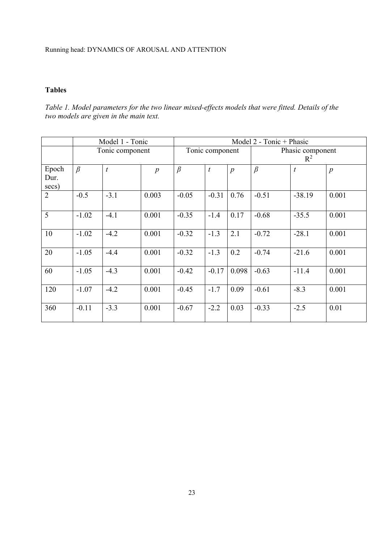# **Tables**

*Table 1. Model parameters for the two linear mixed-effects models that were fitted. Details of the two models are given in the main text.* 

|                        | Model 1 - Tonic |                  |                  | Model 2 - Tonic + Phasic |                  |                  |                           |                  |                  |
|------------------------|-----------------|------------------|------------------|--------------------------|------------------|------------------|---------------------------|------------------|------------------|
|                        | Tonic component |                  |                  | Tonic component          |                  |                  | Phasic component<br>$R^2$ |                  |                  |
| Epoch<br>Dur.<br>secs) | $\beta$         | $\boldsymbol{t}$ | $\boldsymbol{p}$ | $\beta$                  | $\boldsymbol{t}$ | $\boldsymbol{p}$ | $\beta$                   | $\boldsymbol{t}$ | $\boldsymbol{p}$ |
| $\overline{2}$         | $-0.5$          | $-3.1$           | 0.003            | $-0.05$                  | $-0.31$          | 0.76             | $-0.51$                   | $-38.19$         | 0.001            |
| 5                      | $-1.02$         | $-4.1$           | 0.001            | $-0.35$                  | $-1.4$           | 0.17             | $-0.68$                   | $-35.5$          | 0.001            |
| 10                     | $-1.02$         | $-4.2$           | 0.001            | $-0.32$                  | $-1.3$           | 2.1              | $-0.72$                   | $-28.1$          | 0.001            |
| 20                     | $-1.05$         | $-4.4$           | 0.001            | $-0.32$                  | $-1.3$           | 0.2              | $-0.74$                   | $-21.6$          | 0.001            |
| 60                     | $-1.05$         | $-4.3$           | 0.001            | $-0.42$                  | $-0.17$          | 0.098            | $-0.63$                   | $-11.4$          | 0.001            |
| 120                    | $-1.07$         | $-4.2$           | 0.001            | $-0.45$                  | $-1.7$           | 0.09             | $-0.61$                   | $-8.3$           | 0.001            |
| 360                    | $-0.11$         | $-3.3$           | 0.001            | $-0.67$                  | $-2.2$           | 0.03             | $-0.33$                   | $-2.5$           | 0.01             |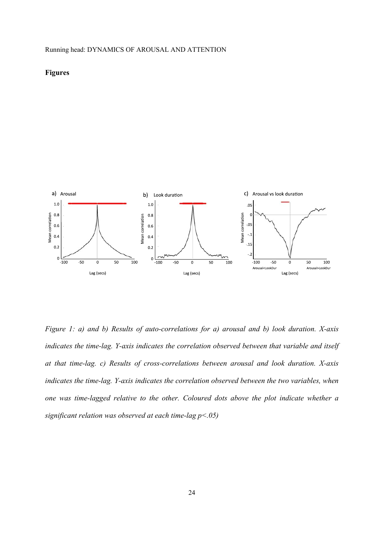## **Figures**



*Figure 1: a) and b) Results of auto-correlations for a) arousal and b) look duration. X-axis indicates the time-lag. Y-axis indicates the correlation observed between that variable and itself at that time-lag. c) Results of cross-correlations between arousal and look duration. X-axis indicates the time-lag. Y-axis indicates the correlation observed between the two variables, when one was time-lagged relative to the other. Coloured dots above the plot indicate whether a significant relation was observed at each time-lag p<.05)*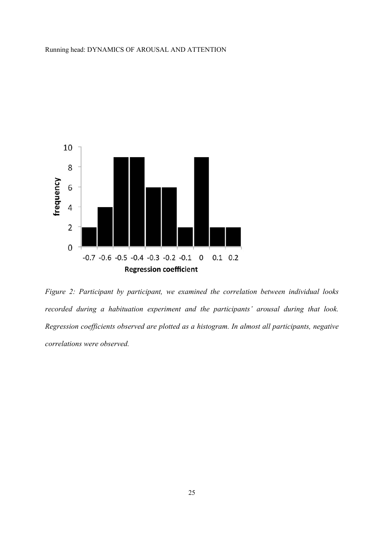

*Figure 2: Participant by participant, we examined the correlation between individual looks recorded during a habituation experiment and the participants' arousal during that look. Regression coefficients observed are plotted as a histogram. In almost all participants, negative correlations were observed.*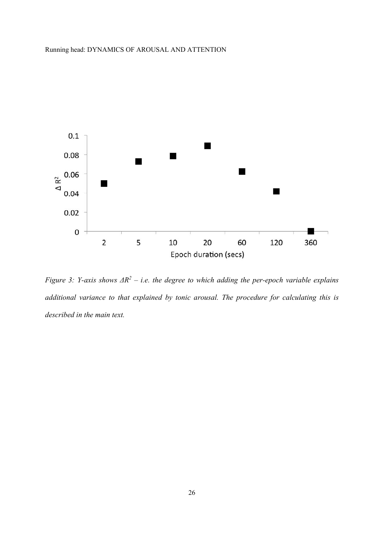

*Figure 3: Y-axis shows*  $\Delta R^2$  *– i.e. the degree to which adding the per-epoch variable explains* additional variance to that explained by tonic arousal. The procedure for calculating this is *described in the main text.*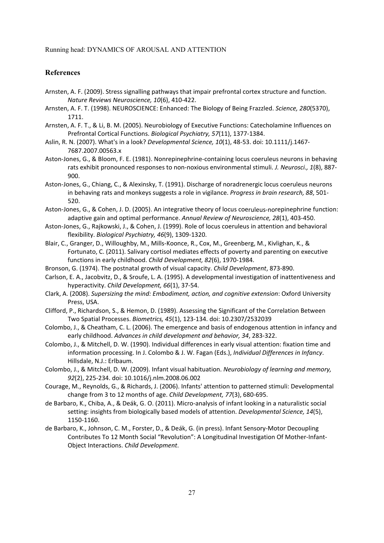## **References**

- Arnsten, A. F. (2009). Stress signalling pathways that impair prefrontal cortex structure and function. *Nature Reviews Neuroscience, 10*(6), 410‐422.
- Arnsten, A. F. T. (1998). NEUROSCIENCE: Enhanced: The Biology of Being Frazzled. *Science, 280*(5370), 1711.
- Arnsten, A. F. T., & Li, B. M. (2005). Neurobiology of Executive Functions: Catecholamine Influences on Prefrontal Cortical Functions. *Biological Psychiatry, 57*(11), 1377‐1384.
- Aslin, R. N. (2007). What's in a look? *Developmental Science, 10*(1), 48‐53. doi: 10.1111/j.1467‐ 7687.2007.00563.x
- Aston‐Jones, G., & Bloom, F. E. (1981). Nonrepinephrine‐containing locus coeruleus neurons in behaving rats exhibit pronounced responses to non‐noxious environmental stimuli. *J. Neurosci., 1*(8), 887‐ 900.
- Aston‐Jones, G., Chiang, C., & Alexinsky, T. (1991). Discharge of noradrenergic locus coeruleus neurons in behaving rats and monkeys suggests a role in vigilance. *Progress in brain research, 88*, 501‐ 520.
- Aston‐Jones, G., & Cohen, J. D. (2005). An integrative theory of locus coeruleus‐norepinephrine function: adaptive gain and optimal performance. *Annual Review of Neuroscience, 28*(1), 403‐450.
- Aston‐Jones, G., Rajkowski, J., & Cohen, J. (1999). Role of locus coeruleus in attention and behavioral flexibility. *Biological Psychiatry, 46*(9), 1309‐1320.
- Blair, C., Granger, D., Willoughby, M., Mills‐Koonce, R., Cox, M., Greenberg, M., Kivlighan, K., & Fortunato, C. (2011). Salivary cortisol mediates effects of poverty and parenting on executive functions in early childhood. *Child Development, 82*(6), 1970‐1984.
- Bronson, G. (1974). The postnatal growth of visual capacity. *Child Development*, 873‐890.
- Carlson, E. A., Jacobvitz, D., & Sroufe, L. A. (1995). A developmental investigation of inattentiveness and hyperactivity. *Child Development, 66*(1), 37‐54.
- Clark, A. (2008). *Supersizing the mind: Embodiment, action, and cognitive extension*: Oxford University Press, USA.
- Clifford, P., Richardson, S., & Hemon, D. (1989). Assessing the Significant of the Correlation Between Two Spatial Processes. *Biometrics, 45*(1), 123‐134. doi: 10.2307/2532039
- Colombo, J., & Cheatham, C. L. (2006). The emergence and basis of endogenous attention in infancy and early childhood. *Advances in child development and behavior, 34*, 283‐322.
- Colombo, J., & Mitchell, D. W. (1990). Individual differences in early visual attention: fixation time and information processing. In J. Colombo & J. W. Fagan (Eds.), *Individual Differences in Infancy*. Hillsdale, N.J.: Erlbaum.
- Colombo, J., & Mitchell, D. W. (2009). Infant visual habituation. *Neurobiology of learning and memory, 92*(2), 225‐234. doi: 10.1016/j.nlm.2008.06.002
- Courage, M., Reynolds, G., & Richards, J. (2006). Infants' attention to patterned stimuli: Developmental change from 3 to 12 months of age. *Child Development, 77*(3), 680‐695.
- de Barbaro, K., Chiba, A., & Deák, G. O. (2011). Micro‐analysis of infant looking in a naturalistic social setting: insights from biologically based models of attention. *Developmental Science, 14*(5), 1150‐1160.
- de Barbaro, K., Johnson, C. M., Forster, D., & Deák, G. (in press). Infant Sensory‐Motor Decoupling Contributes To 12 Month Social "Revolution": A Longitudinal Investigation Of Mother‐Infant‐ Object Interactions. *Child Development*.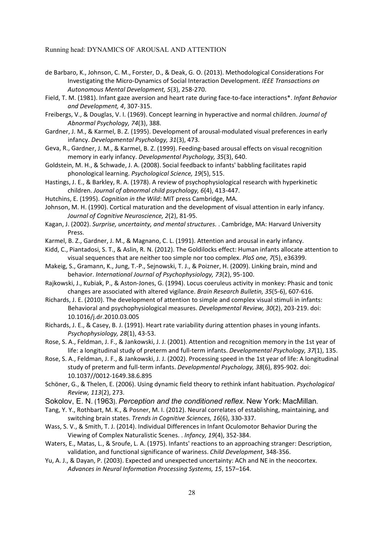- de Barbaro, K., Johnson, C. M., Forster, D., & Deak, G. O. (2013). Methodological Considerations For Investigating the Micro‐Dynamics of Social Interaction Development. *IEEE Transactions on Autonomous Mental Development, 5*(3), 258‐270.
- Field, T. M. (1981). Infant gaze aversion and heart rate during face‐to‐face interactions\*. *Infant Behavior and Development, 4*, 307‐315.
- Freibergs, V., & Douglas, V. I. (1969). Concept learning in hyperactive and normal children. *Journal of Abnormal Psychology, 74*(3), 388.
- Gardner, J. M., & Karmel, B. Z. (1995). Development of arousal‐modulated visual preferences in early infancy. *Developmental Psychology, 31*(3), 473.
- Geva, R., Gardner, J. M., & Karmel, B. Z. (1999). Feeding‐based arousal effects on visual recognition memory in early infancy. *Developmental Psychology, 35*(3), 640.
- Goldstein, M. H., & Schwade, J. A. (2008). Social feedback to infants' babbling facilitates rapid phonological learning. *Psychological Science, 19*(5), 515.
- Hastings, J. E., & Barkley, R. A. (1978). A review of psychophysiological research with hyperkinetic children. *Journal of abnormal child psychology, 6*(4), 413‐447.
- Hutchins, E. (1995). *Cognition in the Wild*: MIT press Cambridge, MA.

Johnson, M. H. (1990). Cortical maturation and the development of visual attention in early infancy. *Journal of Cognitive Neuroscience, 2*(2), 81‐95.

- Kagan, J. (2002). *Surprise, uncertainty, and mental structures.* . Cambridge, MA: Harvard University Press.
- Karmel, B. Z., Gardner, J. M., & Magnano, C. L. (1991). Attention and arousal in early infancy.

Kidd, C., Piantadosi, S. T., & Aslin, R. N. (2012). The Goldilocks effect: Human infants allocate attention to visual sequences that are neither too simple nor too complex. *PloS one, 7*(5), e36399.

- Makeig, S., Gramann, K., Jung, T.‐P., Sejnowski, T. J., & Poizner, H. (2009). Linking brain, mind and behavior. *International Journal of Psychophysiology, 73*(2), 95‐100.
- Rajkowski, J., Kubiak, P., & Aston‐Jones, G. (1994). Locus coeruleus activity in monkey: Phasic and tonic changes are associated with altered vigilance. *Brain Research Bulletin, 35*(5‐6), 607‐616.
- Richards, J. E. (2010). The development of attention to simple and complex visual stimuli in infants: Behavioral and psychophysiological measures. *Developmental Review, 30*(2), 203‐219. doi: 10.1016/j.dr.2010.03.005
- Richards, J. E., & Casey, B. J. (1991). Heart rate variability during attention phases in young infants. *Psychophysiology, 28*(1), 43‐53.
- Rose, S. A., Feldman, J. F., & Jankowski, J. J. (2001). Attention and recognition memory in the 1st year of life: a longitudinal study of preterm and full‐term infants. *Developmental Psychology, 37*(1), 135.
- Rose, S. A., Feldman, J. F., & Jankowski, J. J. (2002). Processing speed in the 1st year of life: A longitudinal study of preterm and full‐term infants. *Developmental Psychology, 38*(6), 895‐902. doi: 10.1037//0012‐1649.38.6.895
- Schöner, G., & Thelen, E. (2006). Using dynamic field theory to rethink infant habituation. *Psychological Review, 113*(2), 273.
- Sokolov, E. N. (1963). *Perception and the conditioned reflex.* New York: MacMillan.
- Tang, Y. Y., Rothbart, M. K., & Posner, M. I. (2012). Neural correlates of establishing, maintaining, and switching brain states. *Trends in Cognitive Sciences, 16*(6), 330‐337.
- Wass, S. V., & Smith, T. J. (2014). Individual Differences in Infant Oculomotor Behavior During the Viewing of Complex Naturalistic Scenes. . *Infancy, 19*(4), 352‐384.
- Waters, E., Matas, L., & Sroufe, L. A. (1975). Infants' reactions to an approaching stranger: Description, validation, and functional significance of wariness. *Child Development*, 348‐356.
- Yu, A. J., & Dayan, P. (2003). Expected and unexpected uncertainty: ACh and NE in the neocortex. *Advances in Neural Information Processing Systems, 15*, 157–164.